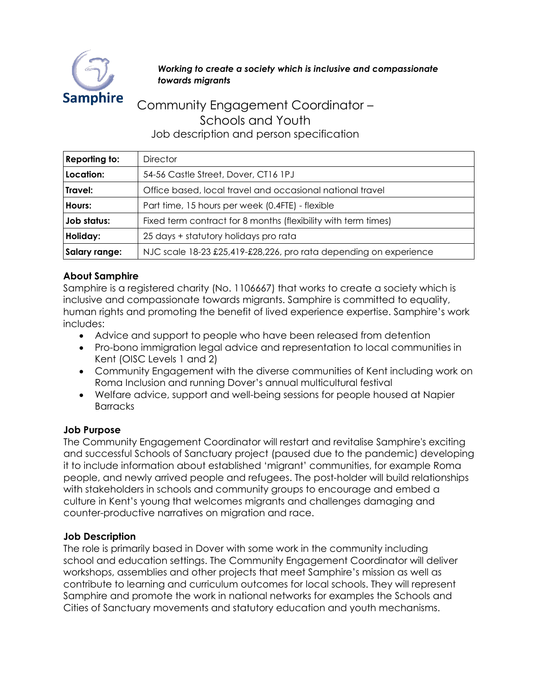

#### *Working to create a society which is inclusive and compassionate towards migrants*

# Community Engagement Coordinator – Schools and Youth Job description and person specification

| <b>Reporting to:</b> | <b>Director</b>                                                   |
|----------------------|-------------------------------------------------------------------|
| Location:            | 54-56 Castle Street, Dover, CT16 1PJ                              |
| Travel:              | Office based, local travel and occasional national travel         |
| Hours:               | Part time, 15 hours per week (0.4FTE) - flexible                  |
| Job status:          | Fixed term contract for 8 months (flexibility with term times)    |
| Holiday:             | 25 days + statutory holidays pro rata                             |
| Salary range:        | NJC scale 18-23 £25,419-£28,226, pro rata depending on experience |

### **About Samphire**

Samphire is a registered charity (No. 1106667) that works to create a society which is inclusive and compassionate towards migrants. Samphire is committed to equality, human rights and promoting the benefit of lived experience expertise. Samphire's work includes:

- Advice and support to people who have been released from detention
- Pro-bono immigration legal advice and representation to local communities in Kent (OISC Levels 1 and 2)
- Community Engagement with the diverse communities of Kent including work on Roma Inclusion and running Dover's annual multicultural festival
- Welfare advice, support and well-being sessions for people housed at Napier **Barracks**

#### **Job Purpose**

The Community Engagement Coordinator will restart and revitalise Samphire's exciting and successful Schools of Sanctuary project (paused due to the pandemic) developing it to include information about established 'migrant' communities, for example Roma people, and newly arrived people and refugees. The post-holder will build relationships with stakeholders in schools and community groups to encourage and embed a culture in Kent's young that welcomes migrants and challenges damaging and counter-productive narratives on migration and race.

#### **Job Description**

The role is primarily based in Dover with some work in the community including school and education settings. The Community Engagement Coordinator will deliver workshops, assemblies and other projects that meet Samphire's mission as well as contribute to learning and curriculum outcomes for local schools. They will represent Samphire and promote the work in national networks for examples the Schools and Cities of Sanctuary movements and statutory education and youth mechanisms.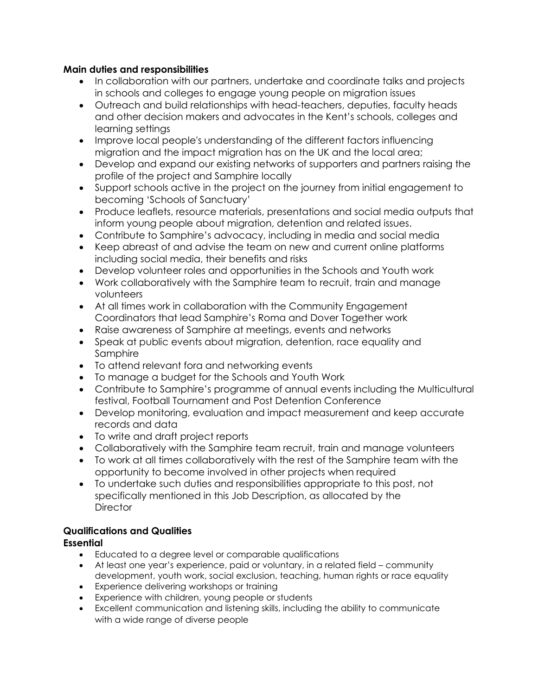#### **Main duties and responsibilities**

- In collaboration with our partners, undertake and coordinate talks and projects in schools and colleges to engage young people on migration issues
- Outreach and build relationships with head-teachers, deputies, faculty heads and other decision makers and advocates in the Kent's schools, colleges and learning settings
- Improve local people's understanding of the different factors influencing migration and the impact migration has on the UK and the local area;
- Develop and expand our existing networks of supporters and partners raising the profile of the project and Samphire locally
- Support schools active in the project on the journey from initial engagement to becoming 'Schools of Sanctuary'
- Produce leaflets, resource materials, presentations and social media outputs that inform young people about migration, detention and related issues.
- Contribute to Samphire's advocacy, including in media and social media
- Keep abreast of and advise the team on new and current online platforms including social media, their benefits and risks
- Develop volunteer roles and opportunities in the Schools and Youth work
- Work collaboratively with the Samphire team to recruit, train and manage volunteers
- At all times work in collaboration with the Community Engagement Coordinators that lead Samphire's Roma and Dover Together work
- Raise awareness of Samphire at meetings, events and networks
- Speak at public events about migration, detention, race equality and Samphire
- To attend relevant fora and networking events
- To manage a budget for the Schools and Youth Work
- Contribute to Samphire's programme of annual events including the Multicultural festival, Football Tournament and Post Detention Conference
- Develop monitoring, evaluation and impact measurement and keep accurate records and data
- To write and draft project reports
- Collaboratively with the Samphire team recruit, train and manage volunteers
- To work at all times collaboratively with the rest of the Samphire team with the opportunity to become involved in other projects when required
- To undertake such duties and responsibilities appropriate to this post, not specifically mentioned in this Job Description, as allocated by the **Director**

## **Qualifications and Qualities**

### **Essential**

- Educated to a degree level or comparable qualifications
- At least one year's experience, paid or voluntary, in a related field community development, youth work, social exclusion, teaching, human rights or race equality
- Experience delivering workshops or training
- Experience with children, young people or students
- Excellent communication and listening skills, including the ability to communicate with a wide range of diverse people